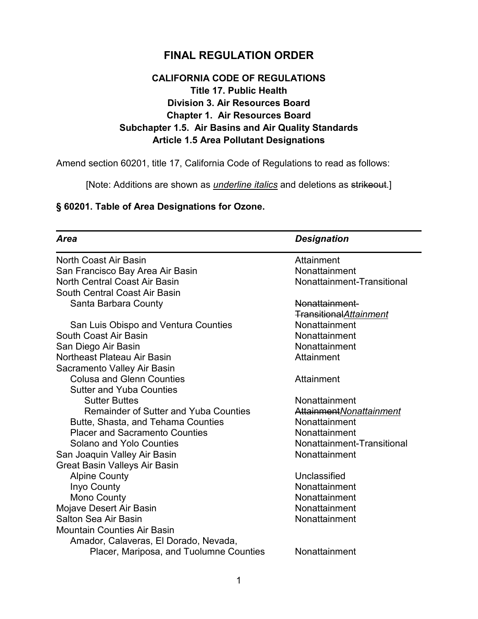## **FINAL REGULATION ORDER**

## **CALIFORNIA CODE OF REGULATIONS Title 17. Public Health Division 3. Air Resources Board Chapter 1. Air Resources Board Subchapter 1.5. Air Basins and Air Quality Standards Article 1.5 Area Pollutant Designations**

Amend section 60201, title 17, California Code of Regulations to read as follows:

[Note: Additions are shown as *underline italics* and deletions as strikeout.]

## **§ 60201. Table of Area Designations for Ozone.**

| <b>Area</b>                                  | <b>Designation</b>         |
|----------------------------------------------|----------------------------|
| North Coast Air Basin                        | Attainment                 |
| San Francisco Bay Area Air Basin             | Nonattainment              |
| North Central Coast Air Basin                | Nonattainment-Transitional |
| South Central Coast Air Basin                |                            |
| Santa Barbara County                         | Nonattainment-             |
|                                              | Transitional Attainment    |
| San Luis Obispo and Ventura Counties         | Nonattainment              |
| South Coast Air Basin                        | Nonattainment              |
| San Diego Air Basin                          | Nonattainment              |
| Northeast Plateau Air Basin                  | Attainment                 |
| Sacramento Valley Air Basin                  |                            |
| <b>Colusa and Glenn Counties</b>             | Attainment                 |
| <b>Sutter and Yuba Counties</b>              |                            |
| <b>Sutter Buttes</b>                         | Nonattainment              |
| <b>Remainder of Sutter and Yuba Counties</b> | AttainmentNonattainment    |
| Butte, Shasta, and Tehama Counties           | Nonattainment              |
| <b>Placer and Sacramento Counties</b>        | Nonattainment              |
| <b>Solano and Yolo Counties</b>              | Nonattainment-Transitional |
| San Joaquin Valley Air Basin                 | Nonattainment              |
| <b>Great Basin Valleys Air Basin</b>         |                            |
| <b>Alpine County</b>                         | Unclassified               |
| Inyo County                                  | Nonattainment              |
| Mono County                                  | Nonattainment              |
| Mojave Desert Air Basin                      | Nonattainment              |
| <b>Salton Sea Air Basin</b>                  | Nonattainment              |
| <b>Mountain Counties Air Basin</b>           |                            |
| Amador, Calaveras, El Dorado, Nevada,        |                            |
| Placer, Mariposa, and Tuolumne Counties      | Nonattainment              |